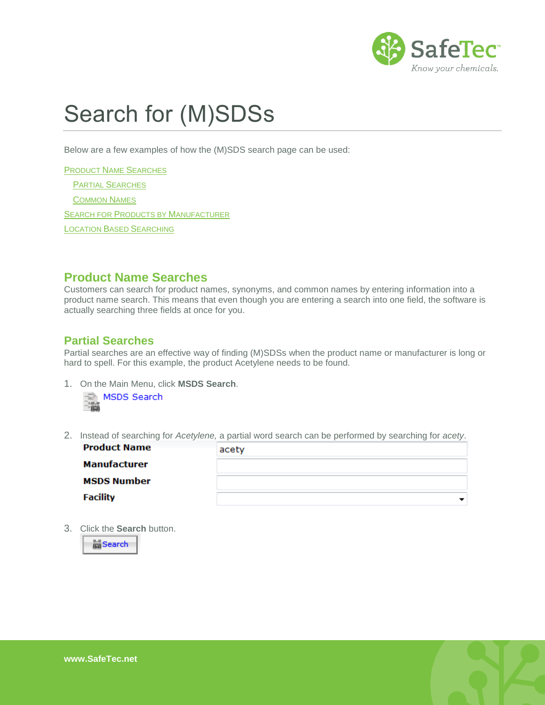

# Search for (M)SDSs

Below are a few examples of how the (M)SDS search page can be used:

PRODUCT NAME S[EARCHES](#page-0-0) PARTIAL S[EARCHES](#page-0-1) C[OMMON](#page-1-0) NAMES SEARCH FOR PRODUCTS BY M[ANUFACTURER](#page-1-1) **LOCATION BASED S[EARCHING](#page-2-0)** 

### <span id="page-0-0"></span>**Product Name Searches**

Customers can search for product names, synonyms, and common names by entering information into a product name search. This means that even though you are entering a search into one field, the software is actually searching three fields at once for you.

#### <span id="page-0-1"></span>**Partial Searches**

Partial searches are an effective way of finding (M)SDSs when the product name or manufacturer is long or hard to spell. For this example, the product Acetylene needs to be found.

1. On the Main Menu, click **MSDS Search**.



2. Instead of searching for *Acetylene,* a partial word search can be performed by searching for *acety*.

| <b>Product Name</b> | acety |
|---------------------|-------|
| Manufacturer        |       |
| <b>MSDS Number</b>  |       |
| <b>Facility</b>     |       |

3. Click the **Search** button.

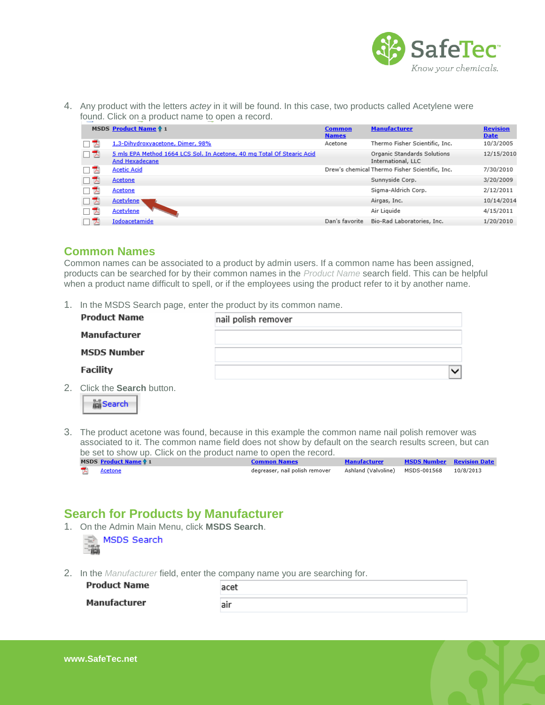

4. Any product with the letters *actey* in it will be found. In this case, two products called Acetylene were found. Click on a product name to open a record.

|     | MSDS Product Name ↑ 1                                                                           | <b>Common</b><br><b>Names</b> | <b>Manufacturer</b>                               | <b>Revision</b><br><b>Date</b> |
|-----|-------------------------------------------------------------------------------------------------|-------------------------------|---------------------------------------------------|--------------------------------|
| ᅐ   | 1,3-Dihydroxyacetone, Dimer, 98%                                                                | Acetone                       | Thermo Fisher Scientific, Inc.                    | 10/3/2005                      |
| 口头  | 5 mls EPA Method 1664 LCS Sol. In Acetone, 40 mg Total Of Stearic Acid<br><b>And Hexadecane</b> |                               | Organic Standards Solutions<br>International, LLC | 12/15/2010                     |
| 人   | <b>Acetic Acid</b>                                                                              |                               | Drew's chemical Thermo Fisher Scientific, Inc.    | 7/30/2010                      |
| 口飞  | Acetone                                                                                         |                               | Sunnyside Corp.                                   | 3/20/2009                      |
| ᆽ   | Acetone                                                                                         |                               | Sigma-Aldrich Corp.                               | 2/12/2011                      |
| 口头  | <b>Acetylene</b>                                                                                |                               | Airgas, Inc.                                      | 10/14/2014                     |
| ТĀ, | Acetylene                                                                                       |                               | Air Liguide                                       | 4/15/2011                      |
| ᆽ   | <b>Iodoacetamide</b>                                                                            | Dan's favorite                | Bio-Rad Laboratories, Inc.                        | 1/20/2010                      |

#### <span id="page-1-0"></span>**Common Names**

Common names can be associated to a product by admin users. If a common name has been assigned, products can be searched for by their common names in the *Product Name* search field. This can be helpful when a product name difficult to spell, or if the employees using the product refer to it by another name.

1. In the MSDS Search page, enter the product by its common name.

| <b>Product Name</b>                                 | nail polish remover |
|-----------------------------------------------------|---------------------|
| Manufacturer                                        |                     |
| <b>MSDS Number</b>                                  |                     |
| <b>Facility</b>                                     | $\checkmark$        |
| 2. Click the <b>Search</b> button.<br><b>Search</b> |                     |

3. The product acetone was found, because in this example the common name nail polish remover was associated to it. The common name field does not show by default on the search results screen, but can be set to show up. Click on the product name to open the record.

| MSDS Product Name 1 | Common Names                   | <b>Manufacturer</b>                       | <b>MSDS Number Revision Date</b> |  |
|---------------------|--------------------------------|-------------------------------------------|----------------------------------|--|
| <u>Acetone</u>      | degreaser, nail polish remover | Ashland (Valvoline) MSDS-001568 10/8/2013 |                                  |  |

# <span id="page-1-1"></span>**Search for Products by Manufacturer**

- 1. On the Admin Main Menu, click **MSDS Search**. MSDS Search 一篇
- 2. In the *Manufacturer* field, enter the company name you are searching for.

**Product Name** acet **Manufacturer** air